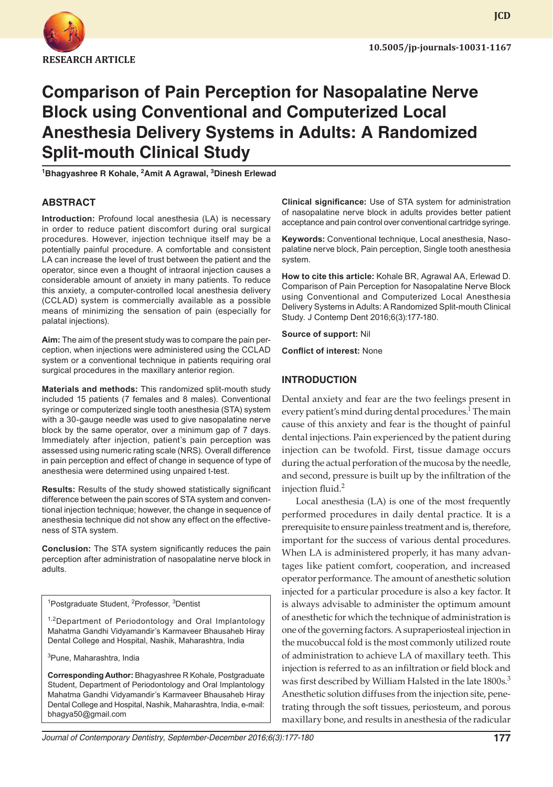

**JCD**

# **Comparison of Pain Perception for Nasopalatine Nerve Block using Conventional and Computerized Local Anesthesia Delivery Systems in Adults: A Randomized Split-mouth Clinical Study**

**1 Bhagyashree R Kohale, <sup>2</sup> Amit A Agrawal, 3 Dinesh Erlewad**

# **ABSTRACT**

**Introduction:** Profound local anesthesia (LA) is necessary in order to reduce patient discomfort during oral surgical procedures. However, injection technique itself may be a potentially painful procedure. A comfortable and consistent LA can increase the level of trust between the patient and the operator, since even a thought of intraoral injection causes a considerable amount of anxiety in many patients. To reduce this anxiety, a computer-controlled local anesthesia delivery (CCLAD) system is commercially available as a possible means of minimizing the sensation of pain (especially for palatal injections).

**Aim:** The aim of the present study was to compare the pain perception, when injections were administered using the CCLAD system or a conventional technique in patients requiring oral surgical procedures in the maxillary anterior region.

**Materials and methods:** This randomized split-mouth study included 15 patients (7 females and 8 males). Conventional syringe or computerized single tooth anesthesia (STA) system with a 30-gauge needle was used to give nasopalatine nerve block by the same operator, over a minimum gap of 7 days. Immediately after injection, patient's pain perception was assessed using numeric rating scale (NRS). Overall difference in pain perception and effect of change in sequence of type of anesthesia were determined using unpaired t-test.

**Results:** Results of the study showed statistically significant difference between the pain scores of STA system and conventional injection technique; however, the change in sequence of anesthesia technique did not show any effect on the effectiveness of STA system.

**Conclusion:** The STA system significantly reduces the pain perception after administration of nasopalatine nerve block in adults.

<sup>1</sup>Postgraduate Student, <sup>2</sup>Professor, <sup>3</sup>Dentist

<sup>1,2</sup>Department of Periodontology and Oral Implantology Mahatma Gandhi Vidyamandir's Karmaveer Bhausaheb Hiray Dental College and Hospital, Nashik, Maharashtra, India

3 Pune, Maharashtra, India

**Corresponding Author:** Bhagyashree R Kohale, Postgraduate Student, Department of Periodontology and Oral Implantology Mahatma Gandhi Vidyamandir's Karmaveer Bhausaheb Hiray Dental College and Hospital, Nashik, Maharashtra, India, e-mail: bhagya50@gmail.com

**Clinical significance:** Use of STA system for administration of nasopalatine nerve block in adults provides better patient acceptance and pain control over conventional cartridge syringe.

**Keywords:** Conventional technique, Local anesthesia, Nasopalatine nerve block, Pain perception, Single tooth anesthesia system.

**How to cite this article:** Kohale BR, Agrawal AA, Erlewad D. Comparison of Pain Perception for Nasopalatine Nerve Block using Conventional and Computerized Local Anesthesia Delivery Systems in Adults: A Randomized Split-mouth Clinical Study. J Contemp Dent 2016;6(3):177-180.

**Source of support:** Nil

**Conflict of interest:** None

## **INTRODUCTION**

Dental anxiety and fear are the two feelings present in every patient's mind during dental procedures.<sup>1</sup> The main cause of this anxiety and fear is the thought of painful dental injections. Pain experienced by the patient during injection can be twofold. First, tissue damage occurs during the actual perforation of the mucosa by the needle, and second, pressure is built up by the infiltration of the injection fluid.<sup>2</sup>

Local anesthesia (LA) is one of the most frequently performed procedures in daily dental practice. It is a prerequisite to ensure painless treatment and is, therefore, important for the success of various dental procedures. When LA is administered properly, it has many advantages like patient comfort, cooperation, and increased operator performance. The amount of anesthetic solution injected for a particular procedure is also a key factor. It is always advisable to administer the optimum amount of anesthetic for which the technique of administration is one of the governing factors. A supraperiosteal injection in the mucobuccal fold is the most commonly utilized route of administration to achieve LA of maxillary teeth. This injection is referred to as an infiltration or field block and was first described by William Halsted in the late 1800s.<sup>3</sup> Anesthetic solution diffuses from the injection site, penetrating through the soft tissues, periosteum, and porous maxillary bone, and results in anesthesia of the radicular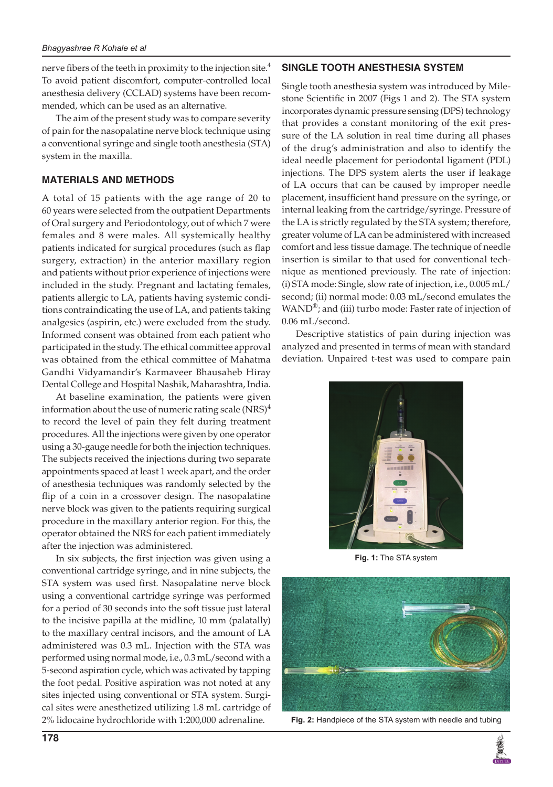nerve fibers of the teeth in proximity to the injection site. $4$ To avoid patient discomfort, computer-controlled local anesthesia delivery (CCLAD) systems have been recommended, which can be used as an alternative.

The aim of the present study was to compare severity of pain for the nasopalatine nerve block technique using a conventional syringe and single tooth anesthesia (STA) system in the maxilla.

## **MATERIALS AND METHODS**

A total of 15 patients with the age range of 20 to 60 years were selected from the outpatient Departments of Oral surgery and Periodontology, out of which 7 were females and 8 were males. All systemically healthy patients indicated for surgical procedures (such as flap surgery, extraction) in the anterior maxillary region and patients without prior experience of injections were included in the study. Pregnant and lactating females, patients allergic to LA, patients having systemic conditions contraindicating the use of LA, and patients taking analgesics (aspirin, etc.) were excluded from the study. Informed consent was obtained from each patient who participated in the study. The ethical committee approval was obtained from the ethical committee of Mahatma Gandhi Vidyamandir's Karmaveer Bhausaheb Hiray Dental College and Hospital Nashik, Maharashtra, India.

At baseline examination, the patients were given information about the use of numeric rating scale  $(NRS)^4$ to record the level of pain they felt during treatment procedures. All the injections were given by one operator using a 30-gauge needle for both the injection techniques. The subjects received the injections during two separate appointments spaced at least 1 week apart, and the order of anesthesia techniques was randomly selected by the flip of a coin in a crossover design. The nasopalatine nerve block was given to the patients requiring surgical procedure in the maxillary anterior region. For this, the operator obtained the NRS for each patient immediately after the injection was administered.

In six subjects, the first injection was given using a conventional cartridge syringe, and in nine subjects, the STA system was used first. Nasopalatine nerve block using a conventional cartridge syringe was performed for a period of 30 seconds into the soft tissue just lateral to the incisive papilla at the midline, 10 mm (palatally) to the maxillary central incisors, and the amount of LA administered was 0.3 mL. Injection with the STA was performed using normal mode, i.e., 0.3 mL/second with a 5-second aspiration cycle, which was activated by tapping the foot pedal. Positive aspiration was not noted at any sites injected using conventional or STA system. Surgical sites were anesthetized utilizing 1.8 mL cartridge of 2% lidocaine hydrochloride with 1:200,000 adrenaline.

#### **single tooth anesthesia SYSTEM**

Single tooth anesthesia system was introduced by Milestone Scientific in 2007 (Figs 1 and 2). The STA system incorporates dynamic pressure sensing (DPS) technology that provides a constant monitoring of the exit pressure of the LA solution in real time during all phases of the drug's administration and also to identify the ideal needle placement for periodontal ligament (PDL) injections. The DPS system alerts the user if leakage of LA occurs that can be caused by improper needle placement, insufficient hand pressure on the syringe, or internal leaking from the cartridge/syringe. Pressure of the LA is strictly regulated by the STA system; therefore, greater volume of LA can be administered with increased comfort and less tissue damage. The technique of needle insertion is similar to that used for conventional technique as mentioned previously. The rate of injection: (i) STA mode: Single, slow rate of injection, i.e., 0.005 mL/ second; (ii) normal mode: 0.03 mL/second emulates the WAND<sup>®</sup>; and (iii) turbo mode: Faster rate of injection of 0.06 mL/second.

Descriptive statistics of pain during injection was analyzed and presented in terms of mean with standard deviation. Unpaired t-test was used to compare pain



**Fig. 1:** The STA system



**Fig. 2:** Handpiece of the STA system with needle and tubing

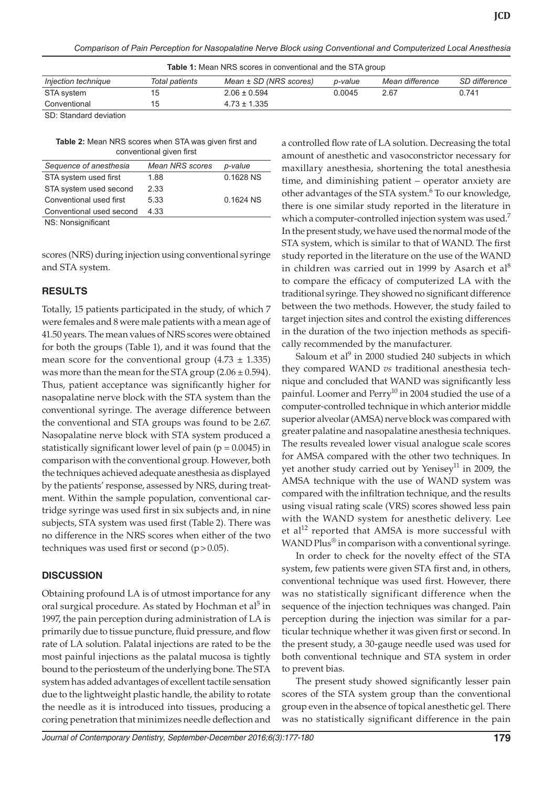*Comparison of Pain Perception for Nasopalatine Nerve Block using Conventional and Computerized Local Anesthesia*

**Table 1:** Mean NRS scores in conventional and the STA group

| Injection technique                                     | Total patients | Mean ± SD (NRS scores) | p-value | Mean difference | SD difference |
|---------------------------------------------------------|----------------|------------------------|---------|-----------------|---------------|
| STA system                                              | 15             | $2.06 \pm 0.594$       | 0.0045  | 2.67            | 0.741         |
| Conventional                                            | 15             | $4.73 \pm 1.335$       |         |                 |               |
| $\sim$ $\sim$ $\sim$ $\sim$ $\sim$ $\sim$ $\sim$ $\sim$ |                |                        |         |                 |               |

SD: Standard deviation

| <b>Table 2:</b> Mean NRS scores when STA was given first and |  |  |  |  |  |
|--------------------------------------------------------------|--|--|--|--|--|
| conventional given first                                     |  |  |  |  |  |

| Sequence of anesthesia   | <b>Mean NRS scores</b> | p-value   |
|--------------------------|------------------------|-----------|
| STA system used first    | 1.88                   | 0.1628 NS |
| STA system used second   | 2.33                   |           |
| Conventional used first  | 5.33                   | 0.1624 NS |
| Conventional used second | 4.33                   |           |
|                          |                        |           |

NS: Nonsignificant

scores (NRS) during injection using conventional syringe and STA system.

#### **RESULTS**

Totally, 15 patients participated in the study, of which 7 were females and 8 were male patients with a mean age of 41.50 years. The mean values of NRS scores were obtained for both the groups (Table 1), and it was found that the mean score for the conventional group  $(4.73 \pm 1.335)$ was more than the mean for the STA group  $(2.06 \pm 0.594)$ . Thus, patient acceptance was significantly higher for nasopalatine nerve block with the STA system than the conventional syringe. The average difference between the conventional and STA groups was found to be 2.67. Nasopalatine nerve block with STA system produced a statistically significant lower level of pain ( $p = 0.0045$ ) in comparison with the conventional group. However, both the techniques achieved adequate anesthesia as displayed by the patients' response, assessed by NRS, during treatment. Within the sample population, conventional cartridge syringe was used first in six subjects and, in nine subjects, STA system was used first (Table 2). There was no difference in the NRS scores when either of the two techniques was used first or second  $(p>0.05)$ .

# **DISCUSSION**

Obtaining profound LA is of utmost importance for any oral surgical procedure. As stated by Hochman et al<sup>5</sup> in 1997, the pain perception during administration of LA is primarily due to tissue puncture, fluid pressure, and flow rate of LA solution. Palatal injections are rated to be the most painful injections as the palatal mucosa is tightly bound to the periosteum of the underlying bone. The STA system has added advantages of excellent tactile sensation due to the lightweight plastic handle, the ability to rotate the needle as it is introduced into tissues, producing a coring penetration that minimizes needle deflection and

a controlled flow rate of LA solution. Decreasing the total amount of anesthetic and vasoconstrictor necessary for maxillary anesthesia, shortening the total anesthesia time, and diminishing patient – operator anxiety are other advantages of the STA system.<sup>6</sup> To our knowledge, there is one similar study reported in the literature in which a computer-controlled injection system was used.<sup>7</sup> In the present study, we have used the normal mode of the STA system, which is similar to that of WAND. The first study reported in the literature on the use of the WAND in children was carried out in 1999 by Asarch et  $al<sup>8</sup>$ to compare the efficacy of computerized LA with the traditional syringe. They showed no significant difference between the two methods. However, the study failed to target injection sites and control the existing differences in the duration of the two injection methods as specifically recommended by the manufacturer.

Saloum et al<sup>9</sup> in 2000 studied 240 subjects in which they compared WAND *vs* traditional anesthesia technique and concluded that WAND was significantly less painful. Loomer and Perry<sup>10</sup> in 2004 studied the use of a computer-controlled technique in which anterior middle superior alveolar (AMSA) nerve block was compared with greater palatine and nasopalatine anesthesia techniques. The results revealed lower visual analogue scale scores for AMSA compared with the other two techniques. In yet another study carried out by Yenisey<sup>11</sup> in 2009, the AMSA technique with the use of WAND system was compared with the infiltration technique, and the results using visual rating scale (VRS) scores showed less pain with the WAND system for anesthetic delivery. Lee et al<sup>12</sup> reported that AMSA is more successful with WAND Plus<sup>®</sup> in comparison with a conventional syringe.

In order to check for the novelty effect of the STA system, few patients were given STA first and, in others, conventional technique was used first. However, there was no statistically significant difference when the sequence of the injection techniques was changed. Pain perception during the injection was similar for a particular technique whether it was given first or second. In the present study, a 30-gauge needle used was used for both conventional technique and STA system in order to prevent bias.

The present study showed significantly lesser pain scores of the STA system group than the conventional group even in the absence of topical anesthetic gel. There was no statistically significant difference in the pain